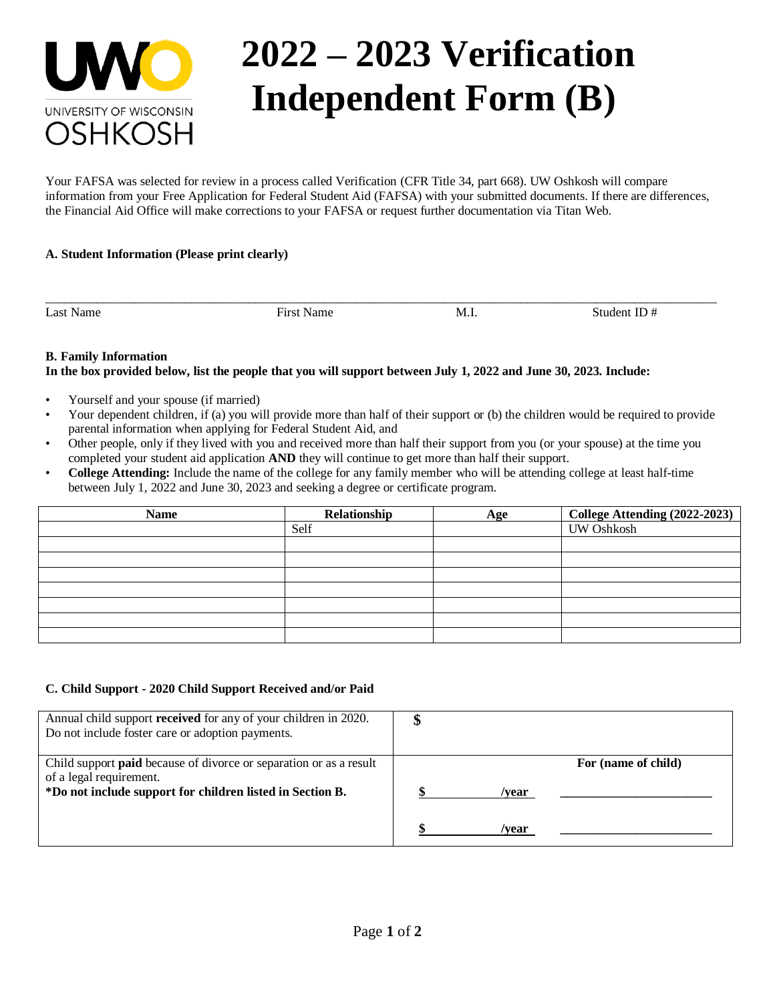

# **2022 – 2023 Verification Independent Form (B)**

Your FAFSA was selected for review in a process called Verification (CFR Title 34, part 668). UW Oshkosh will compare information from your Free Application for Federal Student Aid (FAFSA) with your submitted documents. If there are differences, the Financial Aid Office will make corrections to your FAFSA or request further documentation via Titan Web.

\_\_\_\_\_\_\_\_\_\_\_\_\_\_\_\_\_\_\_\_\_\_\_\_\_\_\_\_\_\_\_\_\_\_\_\_\_\_\_\_\_\_\_\_\_\_\_\_\_\_\_\_\_\_\_\_\_\_\_\_\_\_\_\_\_\_\_\_\_\_\_\_\_\_\_\_\_\_\_\_\_\_\_\_\_\_\_\_\_\_\_\_\_\_\_\_\_\_\_\_\_\_\_\_\_\_

# **A. Student Information (Please print clearly)**

Last Name Student ID  $\#$  First Name M.I. Student ID  $\#$ 

# **B. Family Information**

# **In the box provided below, list the people that you will support between July 1, 2022 and June 30, 2023. Include:**

- Yourself and your spouse (if married)
- Your dependent children, if (a) you will provide more than half of their support or (b) the children would be required to provide parental information when applying for Federal Student Aid, and
- Other people, only if they lived with you and received more than half their support from you (or your spouse) at the time you completed your student aid application **AND** they will continue to get more than half their support.
- **College Attending:** Include the name of the college for any family member who will be attending college at least half-time between July 1, 2022 and June 30, 2023 and seeking a degree or certificate program.

| <b>Name</b> | Relationship | Age | College Attending (2022-2023) |
|-------------|--------------|-----|-------------------------------|
|             | Self         |     | <b>UW Oshkosh</b>             |
|             |              |     |                               |
|             |              |     |                               |
|             |              |     |                               |
|             |              |     |                               |
|             |              |     |                               |
|             |              |     |                               |
|             |              |     |                               |

#### **C. Child Support - 2020 Child Support Received and/or Paid**

| Annual child support received for any of your children in 2020.<br>Do not include foster care or adoption payments.                                               |       |                     |
|-------------------------------------------------------------------------------------------------------------------------------------------------------------------|-------|---------------------|
| Child support <b>paid</b> because of divorce or separation or as a result<br>of a legal requirement.<br>*Do not include support for children listed in Section B. | /vear | For (name of child) |
|                                                                                                                                                                   | /vear |                     |